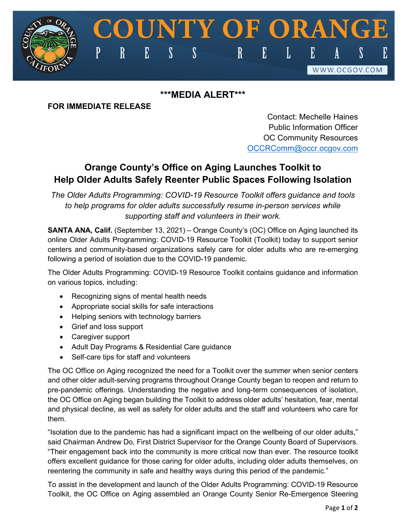## **\*\*\*MEDIA ALERT\*\*\***

 $\mathbf S$ 

**DUNTY OF ORANG** 

E

L

 $\mathbf{R}$ 

## **FOR IMMEDIATE RELEASE**

P

 $\mathbf R$ 

 ${\bf E}$ 

 $\boldsymbol{\mathsf{S}}$ 

Contact: Mechelle Haines Public Information Officer OC Community Resources [OCCRComm@occr.ocgov.com](mailto:OCCRComm@occr.ocgov.com)

 $\mathbf{E}$ 

WWW.OCGOV.COM

## **Orange County's Office on Aging Launches Toolkit to Help Older Adults Safely Reenter Public Spaces Following Isolation**

*The Older Adults Programming: COVID-19 Resource Toolkit offers guidance and tools to help programs for older adults successfully resume in-person services while supporting staff and volunteers in their work.*

**SANTA ANA, Calif.** (September 13, 2021) – Orange County's (OC) Office on Aging launched its online Older Adults Programming: COVID-19 Resource Toolkit (Toolkit) today to support senior centers and community-based organizations safely care for older adults who are re-emerging following a period of isolation due to the COVID-19 pandemic.

The Older Adults Programming: COVID-19 Resource Toolkit contains guidance and information on various topics, including:

- Recognizing signs of mental health needs
- Appropriate social skills for safe interactions
- Helping seniors with technology barriers
- Grief and loss support
- Caregiver support
- Adult Day Programs & Residential Care guidance
- Self-care tips for staff and volunteers

The OC Office on Aging recognized the need for a Toolkit over the summer when senior centers and other older adult-serving programs throughout Orange County began to reopen and return to pre-pandemic offerings. Understanding the negative and long-term consequences of isolation, the OC Office on Aging began building the Toolkit to address older adults' hesitation, fear, mental and physical decline, as well as safety for older adults and the staff and volunteers who care for them.

"Isolation due to the pandemic has had a significant impact on the wellbeing of our older adults," said Chairman Andrew Do, First District Supervisor for the Orange County Board of Supervisors. "Their engagement back into the community is more critical now than ever. The resource toolkit offers excellent guidance for those caring for older adults, including older adults themselves, on reentering the community in safe and healthy ways during this period of the pandemic."

To assist in the development and launch of the Older Adults Programming: COVID-19 Resource Toolkit, the OC Office on Aging assembled an Orange County Senior Re-Emergence Steering